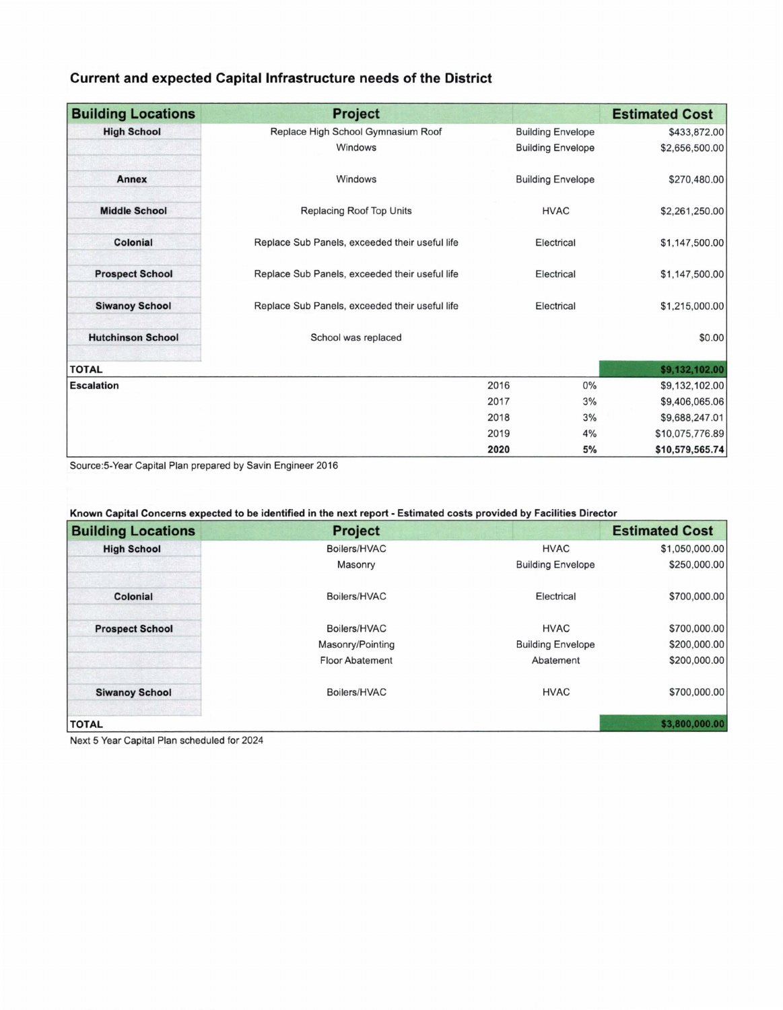## **Current and expected Capital Infrastructure needs of the District**

| <b>Building Locations</b> | <b>Project</b>                                 |                          | <b>Estimated Cost</b> |
|---------------------------|------------------------------------------------|--------------------------|-----------------------|
| <b>High School</b>        | Replace High School Gymnasium Roof             | <b>Building Envelope</b> | \$433,872.00          |
|                           | Windows                                        | <b>Building Envelope</b> | \$2,656,500.00        |
| Annex                     | Windows                                        | <b>Building Envelope</b> | \$270,480.00          |
| <b>Middle School</b>      | Replacing Roof Top Units                       | <b>HVAC</b>              | \$2,261,250.00        |
| Colonial                  | Replace Sub Panels, exceeded their useful life | Electrical               | \$1,147,500.00        |
| <b>Prospect School</b>    | Replace Sub Panels, exceeded their useful life | Electrical               | \$1,147,500.00        |
| <b>Siwanoy School</b>     | Replace Sub Panels, exceeded their useful life | Electrical               | \$1,215,000.00        |
| <b>Hutchinson School</b>  | School was replaced                            |                          | \$0.00                |
| <b>TOTAL</b>              |                                                |                          | \$9,132,102.00        |
| <b>Escalation</b>         |                                                | 2016                     | 0%<br>\$9,132,102.00  |
|                           |                                                | 2017                     | 3%<br>\$9,406,065.06  |
|                           |                                                | 2018                     | 3%<br>\$9,688,247.01  |
|                           |                                                | 2019                     | \$10,075,776.89<br>4% |
|                           |                                                | 2020                     | 5%<br>\$10,579,565.74 |

Source:5-Year Capital Plan prepared by Savin Engineer 2016

**Known Capital Concerns expected to be identified in the next report** - **Estimated costs provided by Facilities Director** 

| <b>Building Locations</b> | <b>Project</b>         |                          | <b>Estimated Cost</b> |
|---------------------------|------------------------|--------------------------|-----------------------|
| <b>High School</b>        | Boilers/HVAC           | <b>HVAC</b>              | \$1,050,000.00        |
|                           | Masonry                | <b>Building Envelope</b> | \$250,000.00          |
| Colonial                  | Boilers/HVAC           | Electrical               | \$700,000.00          |
| <b>Prospect School</b>    | Boilers/HVAC           | <b>HVAC</b>              | \$700,000.00          |
|                           | Masonry/Pointing       | <b>Building Envelope</b> | \$200,000.00          |
|                           | <b>Floor Abatement</b> | Abatement                | \$200,000.00          |
| <b>Siwanoy School</b>     | Boilers/HVAC           | <b>HVAC</b>              | \$700,000.00          |
| <b>TOTAL</b>              |                        |                          | \$3,800,000.00        |

Next 5 Year Capital Plan scheduled for 2024